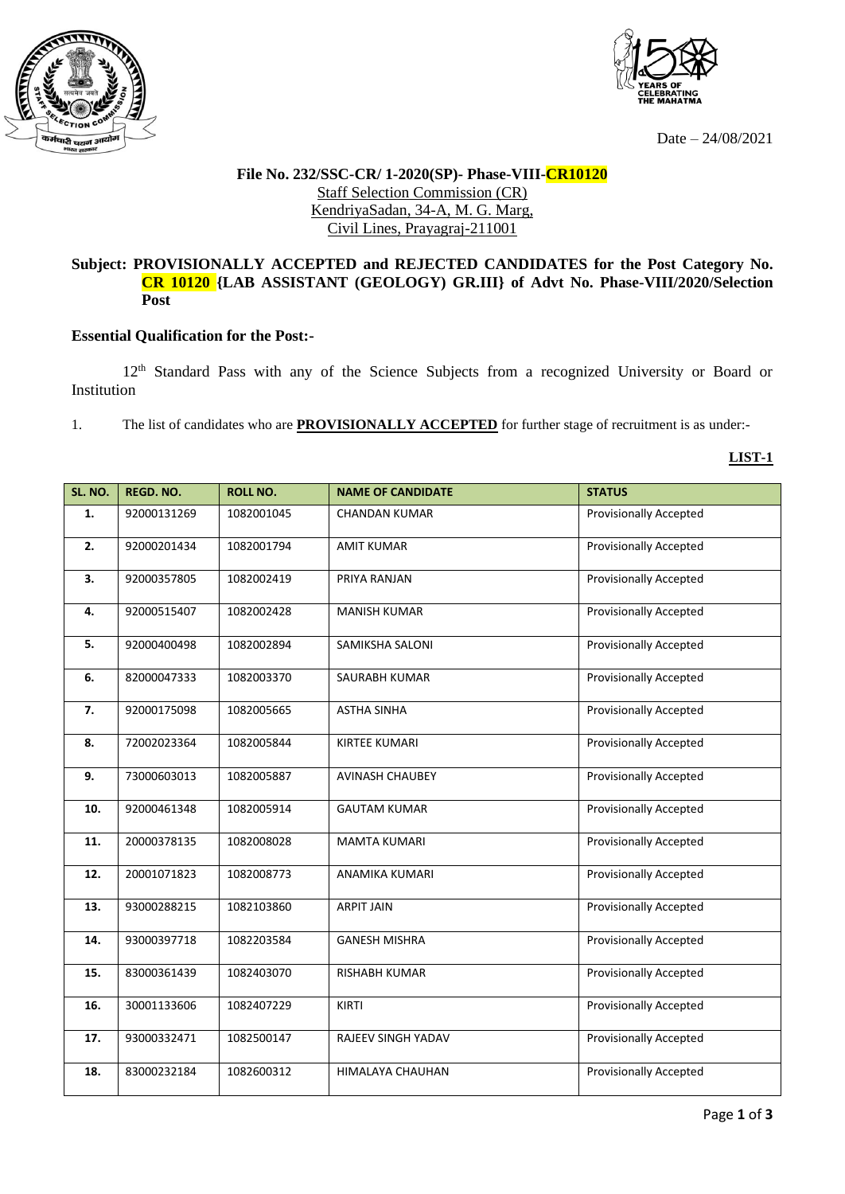



Date – 24/08/2021

## **File No. 232/SSC-CR/ 1-2020(SP)- Phase-VIII-CR10120** Staff Selection Commission (CR) KendriyaSadan, 34-A, M. G. Marg, Civil Lines, Prayagraj-211001

## **Subject: PROVISIONALLY ACCEPTED and REJECTED CANDIDATES for the Post Category No. CR 10120 {LAB ASSISTANT (GEOLOGY) GR.III} of Advt No. Phase-VIII/2020/Selection Post**

## **Essential Qualification for the Post:-**

12th Standard Pass with any of the Science Subjects from a recognized University or Board or Institution

1. The list of candidates who are **PROVISIONALLY ACCEPTED** for further stage of recruitment is as under:-

**LIST-1**

| SL. NO. | <b>REGD. NO.</b> | <b>ROLL NO.</b> | <b>NAME OF CANDIDATE</b> | <b>STATUS</b>                 |
|---------|------------------|-----------------|--------------------------|-------------------------------|
| 1.      | 92000131269      | 1082001045      | <b>CHANDAN KUMAR</b>     | <b>Provisionally Accepted</b> |
|         |                  |                 |                          |                               |
| 2.      | 92000201434      | 1082001794      | <b>AMIT KUMAR</b>        | <b>Provisionally Accepted</b> |
| 3.      | 92000357805      | 1082002419      | PRIYA RANJAN             | <b>Provisionally Accepted</b> |
|         |                  |                 |                          |                               |
| 4.      | 92000515407      | 1082002428      | <b>MANISH KUMAR</b>      | <b>Provisionally Accepted</b> |
|         |                  |                 |                          |                               |
| 5.      | 92000400498      | 1082002894      | SAMIKSHA SALONI          | <b>Provisionally Accepted</b> |
| 6.      | 82000047333      | 1082003370      | SAURABH KUMAR            | <b>Provisionally Accepted</b> |
|         |                  |                 |                          |                               |
| 7.      | 92000175098      | 1082005665      | <b>ASTHA SINHA</b>       | <b>Provisionally Accepted</b> |
| 8.      | 72002023364      | 1082005844      | <b>KIRTEE KUMARI</b>     | <b>Provisionally Accepted</b> |
|         |                  |                 |                          |                               |
| 9.      | 73000603013      | 1082005887      | <b>AVINASH CHAUBEY</b>   | <b>Provisionally Accepted</b> |
|         |                  |                 |                          |                               |
| 10.     | 92000461348      | 1082005914      | <b>GAUTAM KUMAR</b>      | <b>Provisionally Accepted</b> |
| 11.     | 20000378135      | 1082008028      | <b>MAMTA KUMARI</b>      | <b>Provisionally Accepted</b> |
|         |                  |                 |                          |                               |
| 12.     | 20001071823      | 1082008773      | ANAMIKA KUMARI           | Provisionally Accepted        |
| 13.     | 93000288215      | 1082103860      | <b>ARPIT JAIN</b>        | <b>Provisionally Accepted</b> |
|         |                  |                 |                          |                               |
| 14.     | 93000397718      | 1082203584      | <b>GANESH MISHRA</b>     | <b>Provisionally Accepted</b> |
|         |                  |                 |                          |                               |
| 15.     | 83000361439      | 1082403070      | <b>RISHABH KUMAR</b>     | <b>Provisionally Accepted</b> |
| 16.     | 30001133606      | 1082407229      | <b>KIRTI</b>             | <b>Provisionally Accepted</b> |
|         |                  |                 |                          |                               |
| 17.     | 93000332471      | 1082500147      | RAJEEV SINGH YADAV       | <b>Provisionally Accepted</b> |
| 18.     | 83000232184      | 1082600312      | HIMALAYA CHAUHAN         | <b>Provisionally Accepted</b> |
|         |                  |                 |                          |                               |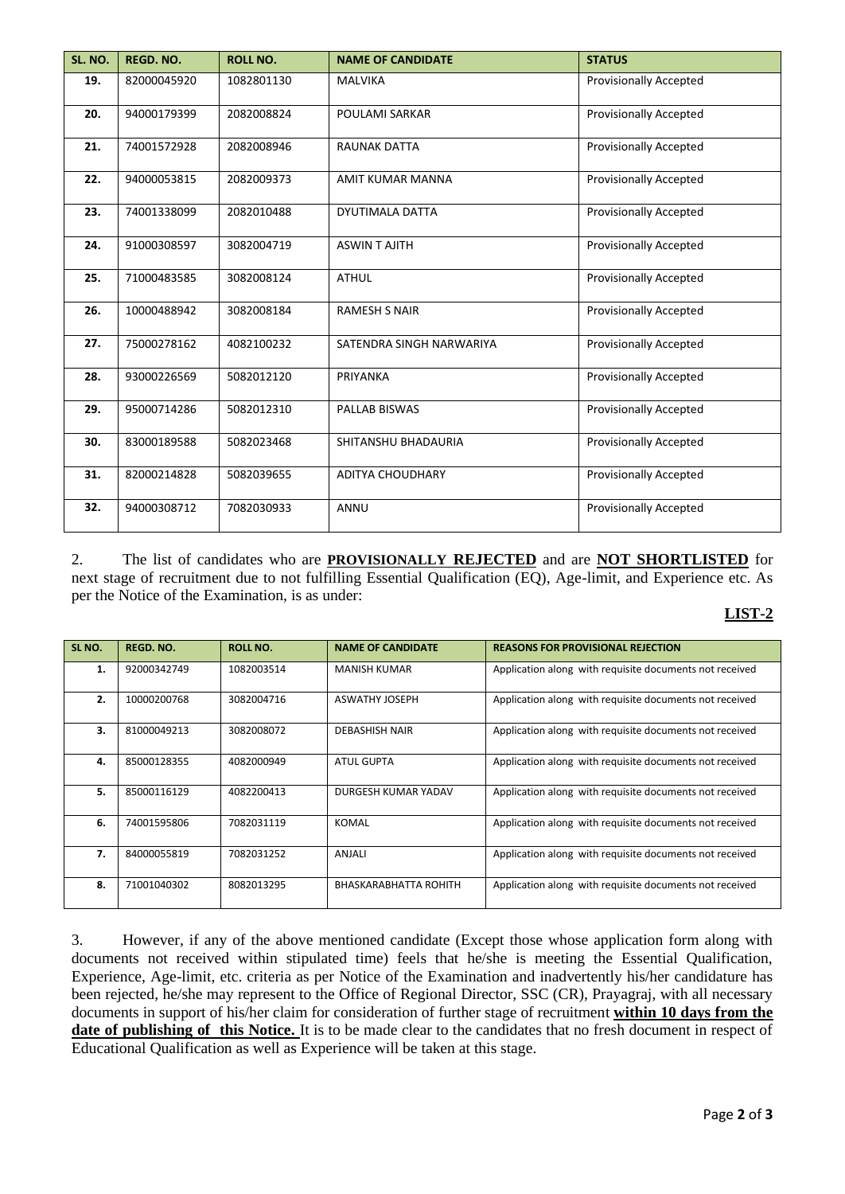| SL. NO. | <b>REGD. NO.</b> | <b>ROLL NO.</b> | <b>NAME OF CANDIDATE</b> | <b>STATUS</b>                 |
|---------|------------------|-----------------|--------------------------|-------------------------------|
| 19.     | 82000045920      | 1082801130      | <b>MALVIKA</b>           | <b>Provisionally Accepted</b> |
| 20.     | 94000179399      | 2082008824      | POULAMI SARKAR           | <b>Provisionally Accepted</b> |
| 21.     | 74001572928      | 2082008946      | <b>RAUNAK DATTA</b>      | <b>Provisionally Accepted</b> |
| 22.     | 94000053815      | 2082009373      | AMIT KUMAR MANNA         | <b>Provisionally Accepted</b> |
| 23.     | 74001338099      | 2082010488      | DYUTIMALA DATTA          | <b>Provisionally Accepted</b> |
| 24.     | 91000308597      | 3082004719      | <b>ASWINT AJITH</b>      | <b>Provisionally Accepted</b> |
| 25.     | 71000483585      | 3082008124      | <b>ATHUL</b>             | <b>Provisionally Accepted</b> |
| 26.     | 10000488942      | 3082008184      | <b>RAMESH S NAIR</b>     | <b>Provisionally Accepted</b> |
| 27.     | 75000278162      | 4082100232      | SATENDRA SINGH NARWARIYA | <b>Provisionally Accepted</b> |
| 28.     | 93000226569      | 5082012120      | PRIYANKA                 | <b>Provisionally Accepted</b> |
| 29.     | 95000714286      | 5082012310      | PALLAB BISWAS            | <b>Provisionally Accepted</b> |
| 30.     | 83000189588      | 5082023468      | SHITANSHU BHADAURIA      | <b>Provisionally Accepted</b> |
| 31.     | 82000214828      | 5082039655      | <b>ADITYA CHOUDHARY</b>  | <b>Provisionally Accepted</b> |
| 32.     | 94000308712      | 7082030933      | ANNU                     | <b>Provisionally Accepted</b> |

2. The list of candidates who are **PROVISIONALLY REJECTED** and are **NOT SHORTLISTED** for next stage of recruitment due to not fulfilling Essential Qualification (EQ), Age-limit, and Experience etc. As per the Notice of the Examination, is as under:

## **LIST-2**

| SL <sub>NO</sub> . | REGD. NO.   | ROLL NO.   | <b>NAME OF CANDIDATE</b>     | <b>REASONS FOR PROVISIONAL REJECTION</b>                |
|--------------------|-------------|------------|------------------------------|---------------------------------------------------------|
| 1.                 | 92000342749 | 1082003514 | MANISH KUMAR                 | Application along with requisite documents not received |
| 2.                 | 10000200768 | 3082004716 | <b>ASWATHY JOSEPH</b>        | Application along with requisite documents not received |
| 3.                 | 81000049213 | 3082008072 | <b>DEBASHISH NAIR</b>        | Application along with requisite documents not received |
| 4.                 | 85000128355 | 4082000949 | ATUL GUPTA                   | Application along with requisite documents not received |
| 5.                 | 85000116129 | 4082200413 | DURGESH KUMAR YADAV          | Application along with requisite documents not received |
| 6.                 | 74001595806 | 7082031119 | KOMAL                        | Application along with requisite documents not received |
| 7.                 | 84000055819 | 7082031252 | ANJALI                       | Application along with requisite documents not received |
| 8.                 | 71001040302 | 8082013295 | <b>BHASKARABHATTA ROHITH</b> | Application along with requisite documents not received |

3. However, if any of the above mentioned candidate (Except those whose application form along with documents not received within stipulated time) feels that he/she is meeting the Essential Qualification, Experience, Age-limit, etc. criteria as per Notice of the Examination and inadvertently his/her candidature has been rejected, he/she may represent to the Office of Regional Director, SSC (CR), Prayagraj, with all necessary documents in support of his/her claim for consideration of further stage of recruitment **within 10 days from the date of publishing of this Notice.** It is to be made clear to the candidates that no fresh document in respect of Educational Qualification as well as Experience will be taken at this stage.